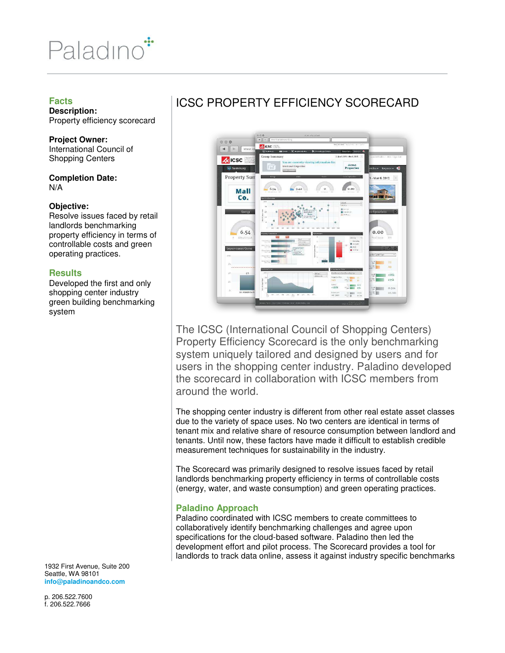

### **Facts**

**Description:**  Property efficiency scorecard

**Project Owner:**  International Council of Shopping Centers

**Completion Date:**  N/A

#### **Objective:**

Resolve issues faced by retail landlords benchmarking property efficiency in terms of controllable costs and green operating practices.

## **Results**

Developed the first and only shopping center industry green building benchmarking system

1932 First Avenue, Suite 200 Seattle, WA 98101 **info@paladinoandco.com** 

p. 206.522.7600 f. 206.522.7666

## ICSC PROPERTY EFFICIENCY SCORECARD



The ICSC (International Council of Shopping Centers) Property Efficiency Scorecard is the only benchmarking system uniquely tailored and designed by users and for users in the shopping center industry. Paladino developed the scorecard in collaboration with ICSC members from around the world.

The shopping center industry is different from other real estate asset classes due to the variety of space uses. No two centers are identical in terms of tenant mix and relative share of resource consumption between landlord and tenants. Until now, these factors have made it difficult to establish credible measurement techniques for sustainability in the industry.

The Scorecard was primarily designed to resolve issues faced by retail landlords benchmarking property efficiency in terms of controllable costs (energy, water, and waste consumption) and green operating practices.

## **Paladino Approach**

Paladino coordinated with ICSC members to create committees to collaboratively identify benchmarking challenges and agree upon specifications for the cloud-based software. Paladino then led the development effort and pilot process. The Scorecard provides a tool for landlords to track data online, assess it against industry specific benchmarks